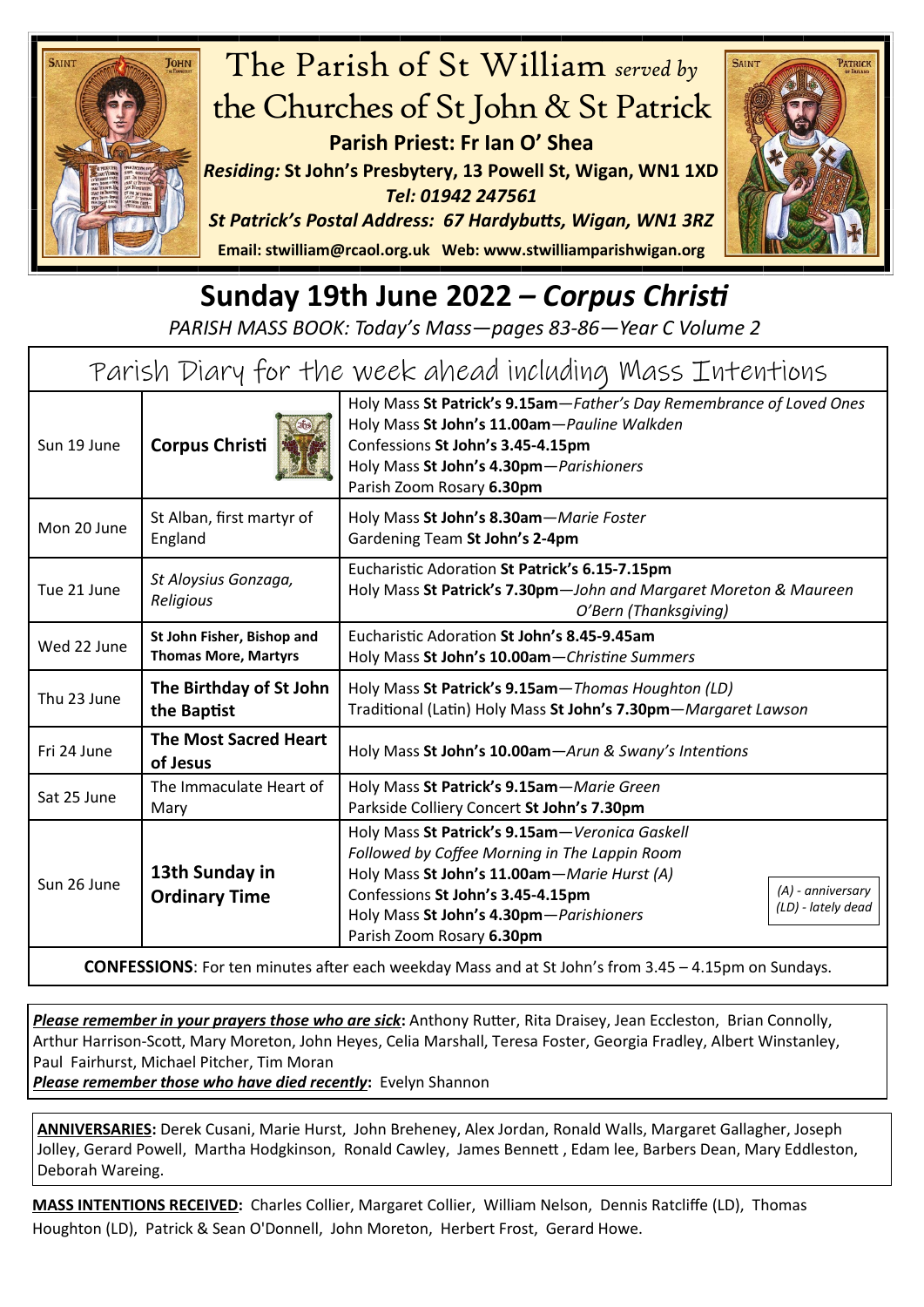



**Sunday 19th June 2022** *– Corpus Christi*

*PARISH MASS BOOK: Today's Mass—pages 83-86—Year C Volume 2*

| Parish Diary for the week ahead including Mass Intentions |                                                           |                                                                                                                                                                                                                                                                                                        |
|-----------------------------------------------------------|-----------------------------------------------------------|--------------------------------------------------------------------------------------------------------------------------------------------------------------------------------------------------------------------------------------------------------------------------------------------------------|
| Sun 19 June                                               | <b>Corpus Christi</b>                                     | Holy Mass St Patrick's 9.15am-Father's Day Remembrance of Loved Ones<br>Holy Mass St John's 11.00am-Pauline Walkden<br>Confessions St John's 3.45-4.15pm<br>Holy Mass St John's 4.30pm-Parishioners<br>Parish Zoom Rosary 6.30pm                                                                       |
| Mon 20 June                                               | St Alban, first martyr of<br>England                      | Holy Mass St John's 8.30am-Marie Foster<br>Gardening Team St John's 2-4pm                                                                                                                                                                                                                              |
| Tue 21 June                                               | St Aloysius Gonzaga,<br>Religious                         | Eucharistic Adoration St Patrick's 6.15-7.15pm<br>Holy Mass St Patrick's 7.30pm-John and Margaret Moreton & Maureen<br>O'Bern (Thanksgiving)                                                                                                                                                           |
| Wed 22 June                                               | St John Fisher, Bishop and<br><b>Thomas More, Martyrs</b> | Eucharistic Adoration St John's 8.45-9.45am<br>Holy Mass St John's 10.00am-Christine Summers                                                                                                                                                                                                           |
| Thu 23 June                                               | The Birthday of St John<br>the Baptist                    | Holy Mass St Patrick's 9.15am - Thomas Houghton (LD)<br>Traditional (Latin) Holy Mass St John's 7.30pm-Margaret Lawson                                                                                                                                                                                 |
| Fri 24 June                                               | <b>The Most Sacred Heart</b><br>of Jesus                  | Holy Mass St John's 10.00am-Arun & Swany's Intentions                                                                                                                                                                                                                                                  |
| Sat 25 June                                               | The Immaculate Heart of<br>Mary                           | Holy Mass St Patrick's 9.15am-Marie Green<br>Parkside Colliery Concert St John's 7.30pm                                                                                                                                                                                                                |
| Sun 26 June                                               | 13th Sunday in<br><b>Ordinary Time</b>                    | Holy Mass St Patrick's 9.15am-Veronica Gaskell<br>Followed by Coffee Morning in The Lappin Room<br>Holy Mass St John's 11.00am-Marie Hurst (A)<br>(A) - anniversary<br>Confessions St John's 3.45-4.15pm<br>(LD) - lately dead<br>Holy Mass St John's 4.30pm-Parishioners<br>Parish Zoom Rosary 6.30pm |

**CONFESSIONS**: For ten minutes after each weekday Mass and at St John's from 3.45 – 4.15pm on Sundays.

*Please remember in your prayers those who are sick***:** Anthony Rutter, Rita Draisey, Jean Eccleston, Brian Connolly, Arthur Harrison-Scott, Mary Moreton, John Heyes, Celia Marshall, Teresa Foster, Georgia Fradley, Albert Winstanley, Paul Fairhurst, Michael Pitcher, Tim Moran

*Please remember those who have died recently***:** Evelyn Shannon

**ANNIVERSARIES:** Derek Cusani, Marie Hurst, John Breheney, Alex Jordan, Ronald Walls, Margaret Gallagher, Joseph Jolley, Gerard Powell, Martha Hodgkinson, Ronald Cawley, James Bennett , Edam lee, Barbers Dean, Mary Eddleston, Deborah Wareing.

**MASS INTENTIONS RECEIVED:** Charles Collier, Margaret Collier, William Nelson, Dennis Ratcliffe (LD), Thomas Houghton (LD), Patrick & Sean O'Donnell, John Moreton, Herbert Frost, Gerard Howe.